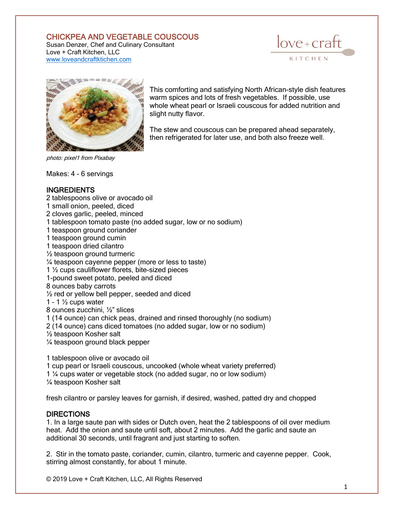## CHICKPEA AND VEGETABLE COUSCOUS

Susan Denzer, Chef and Culinary Consultant Love + Craft Kitchen, LLC [www.loveandcraftktichen.com](http://www.loveandcraftktichen.com/)





photo: pixel1 from Pixabay

Makes: 4 - 6 servings

## **INGREDIENTS**

- 2 tablespoons olive or avocado oil
- 1 small onion, peeled, diced
- 2 cloves garlic, peeled, minced
- 1 tablespoon tomato paste (no added sugar, low or no sodium)
- 1 teaspoon ground coriander
- 1 teaspoon ground cumin
- 1 teaspoon dried cilantro
- ½ teaspoon ground turmeric
- ¼ teaspoon cayenne pepper (more or less to taste)
- 1 ½ cups cauliflower florets, bite-sized pieces
- 1-pound sweet potato, peeled and diced
- 8 ounces baby carrots
- ½ red or yellow bell pepper, seeded and diced
- 1 1  $\frac{1}{2}$  cups water
- 8 ounces zucchini, ½" slices

1 (14 ounce) can chick peas, drained and rinsed thoroughly (no sodium)

- 2 (14 ounce) cans diced tomatoes (no added sugar, low or no sodium)
- ½ teaspoon Kosher salt

¼ teaspoon ground black pepper

1 tablespoon olive or avocado oil 1 cup pearl or Israeli couscous, uncooked (whole wheat variety preferred) 1 ¼ cups water or vegetable stock (no added sugar, no or low sodium) ¼ teaspoon Kosher salt

fresh cilantro or parsley leaves for garnish, if desired, washed, patted dry and chopped

## DIRECTIONS

1. In a large saute pan with sides or Dutch oven, heat the 2 tablespoons of oil over medium heat. Add the onion and saute until soft, about 2 minutes. Add the garlic and saute an additional 30 seconds, until fragrant and just starting to soften.

2. Stir in the tomato paste, coriander, cumin, cilantro, turmeric and cayenne pepper. Cook, stirring almost constantly, for about 1 minute.

© 2019 Love + Craft Kitchen, LLC, All Rights Reserved